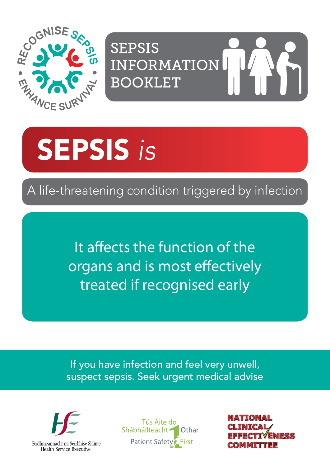

SEPSIS INFORMATION BOOKLET

# SEPSIS *is*

A life-threatening condition triggered by infection

It affects the function of the organs and is most effectively treated if recognised early

If you have infection and feel very unwell, suspect sepsis. Seek urgent medical advise



Tús Áite do Shábháilteacht -Othar Patient Safety<sup>2</sup> First

COMMITTEE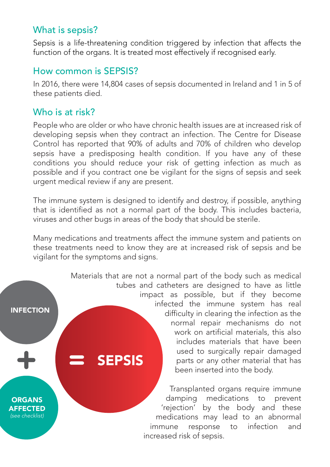#### What is sepsis?

Sepsis is a life-threatening condition triggered by infection that affects the function of the organs. It is treated most effectively if recognised early.

#### How common is SEPSIS?

In 2016, there were 14,804 cases of sepsis documented in Ireland and 1 in 5 of these patients died.

#### Who is at risk?

INFECTION

**ORGANS AFFECTED** *(see checklist)*

People who are older or who have chronic health issues are at increased risk of developing sepsis when they contract an infection. The Centre for Disease Control has reported that 90% of adults and 70% of children who develop sepsis have a predisposing health condition. If you have any of these conditions you should reduce your risk of getting infection as much as possible and if you contract one be vigilant for the signs of sepsis and seek urgent medical review if any are present.

The immune system is designed to identify and destroy, if possible, anything that is identified as not a normal part of the body. This includes bacteria, viruses and other bugs in areas of the body that should be sterile.

Many medications and treatments affect the immune system and patients on these treatments need to know they are at increased risk of sepsis and be vigilant for the symptoms and signs.

> SEPSIS Materials that are not a normal part of the body such as medical tubes and catheters are designed to have as little impact as possible, but if they become infected the immune system has real difficulty in clearing the infection as the normal repair mechanisms do not work on artificial materials, this also includes materials that have been used to surgically repair damaged parts or any other material that has been inserted into the body.

> > Transplanted organs require immune damping medications to prevent 'rejection' by the body and these medications may lead to an abnormal immune response to infection and increased risk of sepsis.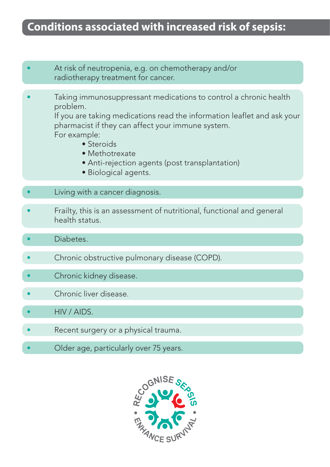#### **Conditions associated with increased risk of sepsis:**

- At risk of neutropenia, e.g. on chemotherapy and/or radiotherapy treatment for cancer.
- Taking immunosuppressant medications to control a chronic health problem.

 If you are taking medications read the information leaflet and ask your pharmacist if they can affect your immune system. For example:

- Steroids
	- Methotrexate
	- Anti-rejection agents (post transplantation)
- Biological agents.
- Living with a cancer diagnosis.
- Frailty, this is an assessment of nutritional, functional and general health status.
- Diabetes.
- Chronic obstructive pulmonary disease (COPD).
- Chronic kidney disease.
- Chronic liver disease.
- HIV / AIDS.
- Recent surgery or a physical trauma.
- Older age, particularly over 75 years.

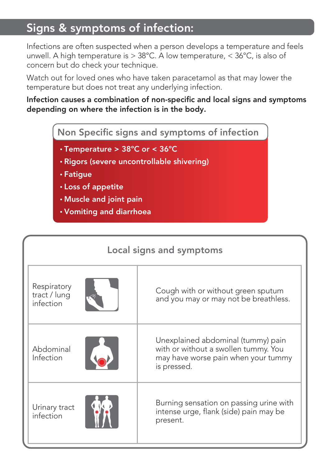### Signs & symptoms of infection:

Infections are often suspected when a person develops a temperature and feels unwell. A high temperature is  $> 38^{\circ}$ C. A low temperature,  $< 36^{\circ}$ C, is also of concern but do check your technique.

Watch out for loved ones who have taken paracetamol as that may lower the temperature but does not treat any underlying infection.

#### Infection causes a combination of non-specific and local signs and symptoms depending on where the infection is in the body.

Non Specific signs and symptoms of infection

- Temperature > 38ºC or < 36ºC
- Rigors (severe uncontrollable shivering)
- Fatigue
- Loss of appetite
- Muscle and joint pain
- Vomiting and diarrhoea

| Local signs and symptoms                 |                                                                                                                                  |  |
|------------------------------------------|----------------------------------------------------------------------------------------------------------------------------------|--|
| Respiratory<br>tract / lung<br>infection | Cough with or without green sputum<br>and you may or may not be breathless.                                                      |  |
| Abdominal<br>Infection                   | Unexplained abdominal (tummy) pain<br>with or without a swollen tummy. You<br>may have worse pain when your tummy<br>is pressed. |  |
| Urinary tract<br>infection               | Burning sensation on passing urine with<br>intense urge, flank (side) pain may be<br>present.                                    |  |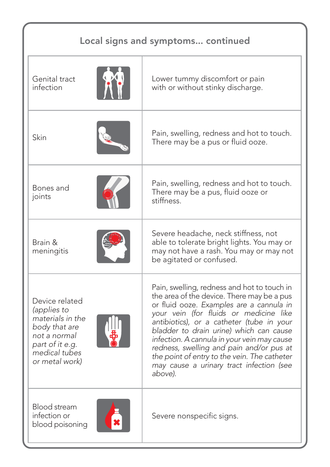| Local signs and symptoms continued                                                                                                       |                                                                                                                                                                                                                                                                                                                                                                                                                                                                           |  |
|------------------------------------------------------------------------------------------------------------------------------------------|---------------------------------------------------------------------------------------------------------------------------------------------------------------------------------------------------------------------------------------------------------------------------------------------------------------------------------------------------------------------------------------------------------------------------------------------------------------------------|--|
| Genital tract<br>infection                                                                                                               | Lower tummy discomfort or pain<br>with or without stinky discharge.                                                                                                                                                                                                                                                                                                                                                                                                       |  |
| Skin                                                                                                                                     | Pain, swelling, redness and hot to touch.<br>There may be a pus or fluid ooze.                                                                                                                                                                                                                                                                                                                                                                                            |  |
| Bones and<br>joints                                                                                                                      | Pain, swelling, redness and hot to touch.<br>There may be a pus, fluid ooze or<br>stiffness.                                                                                                                                                                                                                                                                                                                                                                              |  |
| Brain &<br>meningitis                                                                                                                    | Severe headache, neck stiffness, not<br>able to tolerate bright lights. You may or<br>may not have a rash. You may or may not<br>be agitated or confused.                                                                                                                                                                                                                                                                                                                 |  |
| Device related<br>(applies to<br>materials in the<br>body that are<br>not a normal<br>part of it e.g.<br>medical tubes<br>or metal work) | Pain, swelling, redness and hot to touch in<br>the area of the device. There may be a pus<br>or fluid ooze. Examples are a cannula in<br>your vein (for fluids or medicine like<br>antibiotics), or a catheter (tube in your<br>bladder to drain urine) which can cause<br>infection. A cannula in your vein may cause<br>redness, swelling and pain and/or pus at<br>the point of entry to the vein. The catheter<br>may cause a urinary tract infection (see<br>above). |  |
| Blood stream<br>infection or<br>blood poisoning                                                                                          | Severe nonspecific signs.                                                                                                                                                                                                                                                                                                                                                                                                                                                 |  |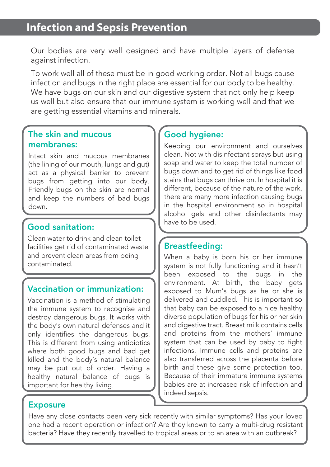Our bodies are very well designed and have multiple layers of defense against infection.

To work well all of these must be in good working order. Not all bugs cause infection and bugs in the right place are essential for our body to be healthy. We have bugs on our skin and our digestive system that not only help keep us well but also ensure that our immune system is working well and that we are getting essential vitamins and minerals.

#### The skin and mucous membranes:

Intact skin and mucous membranes (the lining of our mouth, lungs and gut) act as a physical barrier to prevent bugs from getting into our body. Friendly bugs on the skin are normal and keep the numbers of bad bugs down.

#### Good sanitation:

Clean water to drink and clean toilet facilities get rid of contaminated waste and prevent clean areas from being contaminated.

#### Vaccination or immunization:

Vaccination is a method of stimulating the immune system to recognise and destroy dangerous bugs. It works with the body's own natural defenses and it only identifies the dangerous bugs. This is different from using antibiotics where both good bugs and bad get killed and the body's natural balance may be put out of order. Having a healthy natural balance of bugs is important for healthy living.

#### Good hygiene:

Keeping our environment and ourselves clean. Not with disinfectant sprays but using soap and water to keep the total number of bugs down and to get rid of things like food stains that bugs can thrive on. In hospital it is different, because of the nature of the work, there are many more infection causing bugs in the hospital environment so in hospital alcohol gels and other disinfectants may have to be used.

#### Breastfeeding:

When a baby is born his or her immune system is not fully functioning and it hasn't been exposed to the bugs in the environment. At birth, the baby gets exposed to Mum's bugs as he or she is delivered and cuddled. This is important so that baby can be exposed to a nice healthy diverse population of bugs for his or her skin and digestive tract. Breast milk contains cells and proteins from the mothers' immune system that can be used by baby to fight infections. Immune cells and proteins are also transferred across the placenta before birth and these give some protection too. Because of their immature immune systems babies are at increased risk of infection and indeed sepsis.

#### Exposure

Have any close contacts been very sick recently with similar symptoms? Has your loved one had a recent operation or infection? Are they known to carry a multi-drug resistant bacteria? Have they recently travelled to tropical areas or to an area with an outbreak?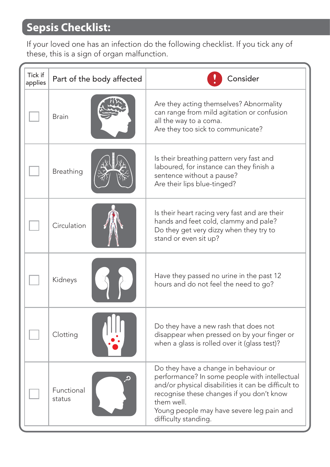## **Sepsis Checklist:**

If your loved one has an infection do the following checklist. If you tick any of these, this is a sign of organ malfunction.

| Tick if<br>applies | Part of the body affected | Consider                                                                                                                                                                                                                                                                      |
|--------------------|---------------------------|-------------------------------------------------------------------------------------------------------------------------------------------------------------------------------------------------------------------------------------------------------------------------------|
|                    | <b>Brain</b>              | Are they acting themselves? Abnormality<br>can range from mild agitation or confusion<br>all the way to a coma.<br>Are they too sick to communicate?                                                                                                                          |
|                    | Breathing                 | Is their breathing pattern very fast and<br>laboured, for instance can they finish a<br>sentence without a pause?<br>Are their lips blue-tinged?                                                                                                                              |
|                    | Circulation               | Is their heart racing very fast and are their<br>hands and feet cold, clammy and pale?<br>Do they get very dizzy when they try to<br>stand or even sit up?                                                                                                                    |
|                    | Kidneys                   | Have they passed no urine in the past 12<br>hours and do not feel the need to go?                                                                                                                                                                                             |
|                    | Clotting                  | Do they have a new rash that does not<br>disappear when pressed on by your finger or<br>when a glass is rolled over it (glass test)?                                                                                                                                          |
|                    | Functional<br>status      | Do they have a change in behaviour or<br>performance? In some people with intellectual<br>and/or physical disabilities it can be difficult to<br>recognise these changes if you don't know<br>them well.<br>Young people may have severe leg pain and<br>difficulty standing. |